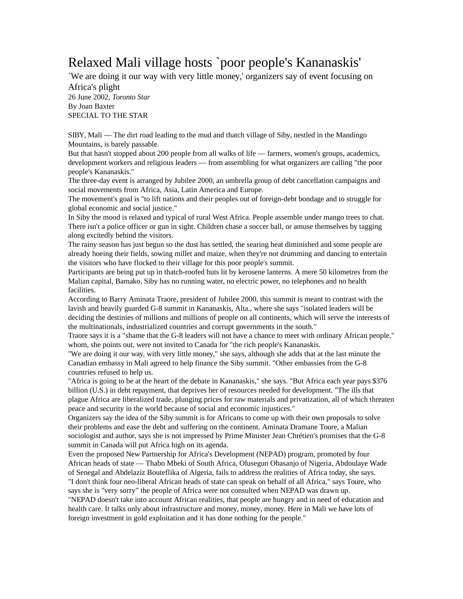## Relaxed Mali village hosts `poor people's Kananaskis'

`We are doing it our way with very little money,' organizers say of event focusing on Africa's plight 26 June 2002, *Toronto Star* By Joan Baxter SPECIAL TO THE STAR

SIBY, Mali — The dirt road leading to the mud and thatch village of Siby, nestled in the Mandingo Mountains, is barely passable.

But that hasn't stopped about 200 people from all walks of life — farmers, women's groups, academics, development workers and religious leaders — from assembling for what organizers are calling "the poor people's Kananaskis."

The three-day event is arranged by Jubilee 2000, an umbrella group of debt cancellation campaigns and social movements from Africa, Asia, Latin America and Europe.

The movement's goal is "to lift nations and their peoples out of foreign-debt bondage and to struggle for global economic and social justice."

In Siby the mood is relaxed and typical of rural West Africa. People assemble under mango trees to chat. There isn't a police officer or gun in sight. Children chase a soccer ball, or amuse themselves by tagging along excitedly behind the visitors.

The rainy season has just begun so the dust has settled, the searing heat diminished and some people are already hoeing their fields, sowing millet and maize, when they're not drumming and dancing to entertain the visitors who have flocked to their village for this poor people's summit.

Participants are being put up in thatch-roofed huts lit by kerosene lanterns. A mere 50 kilometres from the Malian capital, Bamako, Siby has no running water, no electric power, no telephones and no health facilities.

According to Barry Aminata Traore, president of Jubilee 2000, this summit is meant to contrast with the lavish and heavily guarded G-8 summit in Kananaskis, Alta., where she says "isolated leaders will be deciding the destinies of millions and millions of people on all continents, which will serve the interests of the multinationals, industrialized countries and corrupt governments in the south."

Traore says it is a "shame that the G-8 leaders will not have a chance to meet with ordinary African people," whom, she points out, were not invited to Canada for "the rich people's Kananaskis.

"We are doing it our way, with very little money," she says, although she adds that at the last minute the Canadian embassy in Mali agreed to help finance the Siby summit. "Other embassies from the G-8 countries refused to help us.

"Africa is going to be at the heart of the debate in Kananaskis," she says. "But Africa each year pays \$376 billion (U.S.) in debt repayment, that deprives her of resources needed for development. "The ills that plague Africa are liberalized trade, plunging prices for raw materials and privatization, all of which threaten peace and security in the world because of social and economic injustices."

Organizers say the idea of the Siby summit is for Africans to come up with their own proposals to solve their problems and ease the debt and suffering on the continent. Aminata Dramane Toure, a Malian sociologist and author, says she is not impressed by Prime Minister Jean Chrétien's promises that the G-8 summit in Canada will put Africa high on its agenda.

Even the proposed New Partnership for Africa's Development (NEPAD) program, promoted by four African heads of state — Thabo Mbeki of South Africa, Olusegun Obasanjo of Nigeria, Abdoulaye Wade of Senegal and Abdelaziz Bouteflika of Algeria, fails to address the realities of Africa today, she says. "I don't think four neo-liberal African heads of state can speak on behalf of all Africa," says Toure, who

says she is "very sorry" the people of Africa were not consulted when NEPAD was drawn up. "NEPAD doesn't take into account African realities, that people are hungry and in need of education and health care. It talks only about infrastructure and money, money, money. Here in Mali we have lots of foreign investment in gold exploitation and it has done nothing for the people."